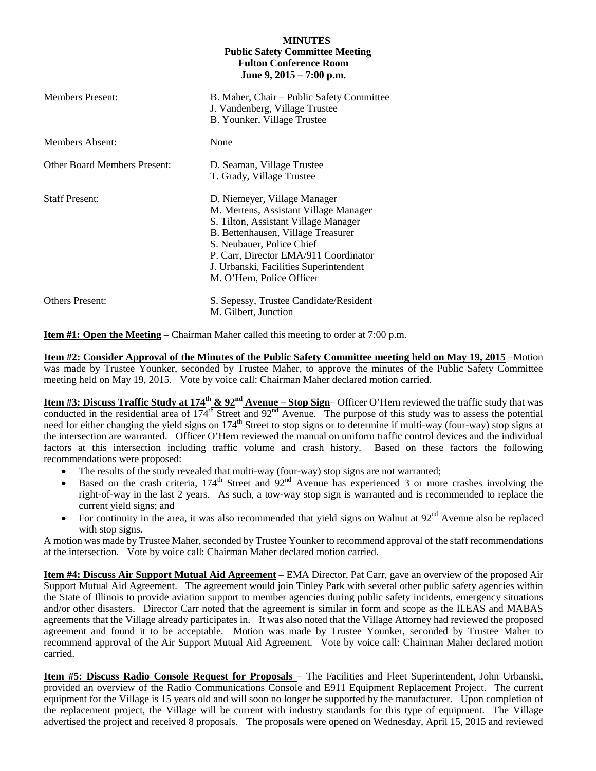## **MINUTES Public Safety Committee Meeting Fulton Conference Room June 9, 2015 – 7:00 p.m.**

| <b>Members Present:</b>             | B. Maher, Chair – Public Safety Committee<br>J. Vandenberg, Village Trustee<br>B. Younker, Village Trustee                                                                                                                                                                                       |
|-------------------------------------|--------------------------------------------------------------------------------------------------------------------------------------------------------------------------------------------------------------------------------------------------------------------------------------------------|
| Members Absent:                     | None                                                                                                                                                                                                                                                                                             |
| <b>Other Board Members Present:</b> | D. Seaman, Village Trustee<br>T. Grady, Village Trustee                                                                                                                                                                                                                                          |
| <b>Staff Present:</b>               | D. Niemeyer, Village Manager<br>M. Mertens, Assistant Village Manager<br>S. Tilton, Assistant Village Manager<br>B. Bettenhausen, Village Treasurer<br>S. Neubauer, Police Chief<br>P. Carr, Director EMA/911 Coordinator<br>J. Urbanski, Facilities Superintendent<br>M. O'Hern, Police Officer |
| <b>Others Present:</b>              | S. Sepessy, Trustee Candidate/Resident<br>M. Gilbert, Junction                                                                                                                                                                                                                                   |

**Item #1: Open the Meeting** – Chairman Maher called this meeting to order at 7:00 p.m.

**Item #2: Consider Approval of the Minutes of the Public Safety Committee meeting held on May 19, 2015** –Motion was made by Trustee Younker, seconded by Trustee Maher, to approve the minutes of the Public Safety Committee meeting held on May 19, 2015. Vote by voice call: Chairman Maher declared motion carried.

**Item #3: Discuss Traffic Study at 174<sup>th</sup> & 92<sup>nd</sup> Avenue – Stop Sign– Officer O'Hern reviewed the traffic study that was** conducted in the residential area of  $174^{\text{th}}$  Street and  $92^{\text{nd}}$  Avenue. The purpose of this study was to assess the potential need for either changing the yield signs on 174<sup>th</sup> Street to stop signs or to determine if multi-way (four-way) stop signs at the intersection are warranted. Officer O'Hern reviewed the manual on uniform traffic control devices and the individual factors at this intersection including traffic volume and crash history. Based on these factors the following recommendations were proposed:

- The results of the study revealed that multi-way (four-way) stop signs are not warranted;
- Based on the crash criteria,  $174^{\text{th}}$  Street and  $92^{\text{nd}}$  Avenue has experienced 3 or more crashes involving the right-of-way in the last 2 years. As such, a tow-way stop sign is warranted and is recommended to replace the current yield signs; and
- For continuity in the area, it was also recommended that yield signs on Walnut at  $92<sup>nd</sup>$  Avenue also be replaced with stop signs.

A motion was made by Trustee Maher, seconded by Trustee Younker to recommend approval of the staff recommendations at the intersection. Vote by voice call: Chairman Maher declared motion carried.

**Item #4: Discuss Air Support Mutual Aid Agreement** – EMA Director, Pat Carr, gave an overview of the proposed Air Support Mutual Aid Agreement. The agreement would join Tinley Park with several other public safety agencies within the State of Illinois to provide aviation support to member agencies during public safety incidents, emergency situations and/or other disasters. Director Carr noted that the agreement is similar in form and scope as the ILEAS and MABAS agreements that the Village already participates in. It was also noted that the Village Attorney had reviewed the proposed agreement and found it to be acceptable. Motion was made by Trustee Younker, seconded by Trustee Maher to recommend approval of the Air Support Mutual Aid Agreement. Vote by voice call: Chairman Maher declared motion carried.

**Item #5: Discuss Radio Console Request for Proposals** – The Facilities and Fleet Superintendent, John Urbanski, provided an overview of the Radio Communications Console and E911 Equipment Replacement Project. The current equipment for the Village is 15 years old and will soon no longer be supported by the manufacturer. Upon completion of the replacement project, the Village will be current with industry standards for this type of equipment. The Village advertised the project and received 8 proposals. The proposals were opened on Wednesday, April 15, 2015 and reviewed